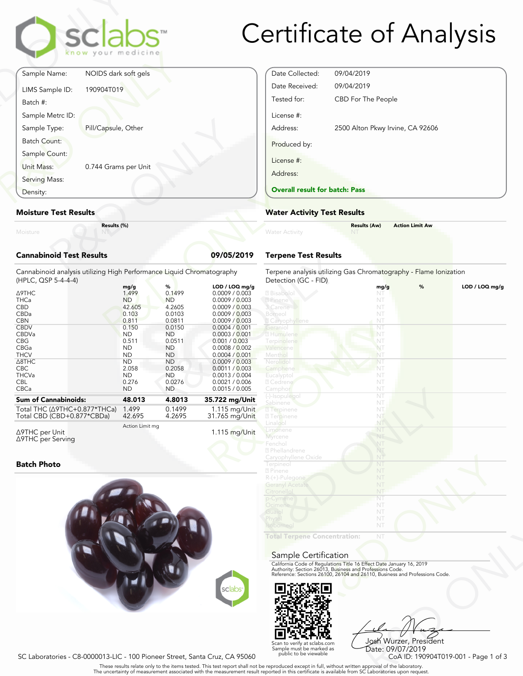|                                 | <b>sclabs</b><br>know your medicine |           |
|---------------------------------|-------------------------------------|-----------|
| Sample Name:                    | NOIDS dark soft gels                |           |
| LIMS Sample ID:<br>Batch #:     | 190904T019                          |           |
| Sample Metrc ID:                |                                     |           |
| Sample Type:                    | Pill/Capsule, Other                 |           |
| Batch Count:<br>Sample Count:   |                                     |           |
| Unit Mass:                      | 0.744 Grams per Unit                |           |
| Serving Mass:                   |                                     |           |
| Density:                        |                                     |           |
| <b>Moisture Test Results</b>    |                                     |           |
| Moisture                        | Results (%)                         |           |
| <b>Cannabinoid Test Results</b> |                                     | 09/05/201 |

# **Moisture Test Results**

# **Cannabinoid Test Results 09/05/2019**

| Density:                                                                                     | <b>Overall result for batc</b> |                        |                                   |                                                    |
|----------------------------------------------------------------------------------------------|--------------------------------|------------------------|-----------------------------------|----------------------------------------------------|
| <b>Moisture Test Results</b>                                                                 | <b>Water Activity Test R</b>   |                        |                                   |                                                    |
| Results (%)<br>Moisture                                                                      |                                |                        |                                   | <b>Water Activity</b>                              |
| <b>Cannabinoid Test Results</b>                                                              |                                |                        | 09/05/2019                        | <b>Terpene Test Results</b>                        |
| Cannabinoid analysis utilizing High Performance Liquid Chromatography<br>(HPLC, QSP 5-4-4-4) |                                |                        |                                   | Terpene analysis utilizing<br>Detection (GC - FID) |
|                                                                                              | mg/g                           | %                      | $LOD / LOQ$ mg/g                  |                                                    |
| Δ9THC                                                                                        | 1.499                          | 0.1499                 | 0.0009 / 0.003                    | 2 Bisabolo                                         |
| <b>THCa</b>                                                                                  | <b>ND</b>                      | <b>ND</b>              | 0.0009 / 0.003                    | ? Pinene                                           |
| <b>CBD</b>                                                                                   | 42.605                         | 4.2605                 | 0.0009 / 0.003                    | 3 Carene                                           |
| CBDa                                                                                         | 0.103                          | 0.0103                 | 0.0009 / 0.003                    | Borneol                                            |
| <b>CBN</b>                                                                                   | 0.811                          | 0.0811                 | 0.0009 / 0.003                    | <b>Z</b> Caryophyllene                             |
| <b>CBDV</b>                                                                                  | 0.150                          | 0.0150                 | 0.0004 / 0.001                    | Geranio                                            |
| CBDVa                                                                                        | <b>ND</b>                      | <b>ND</b>              | 0.0003 / 0.001                    | 2 Humulene                                         |
| <b>CBG</b><br>CBGa                                                                           | 0.511<br><b>ND</b>             | 0.0511                 | 0.001 / 0.003<br>0.0008 / 0.002   | Terpinolene                                        |
| <b>THCV</b>                                                                                  | <b>ND</b>                      | <b>ND</b><br><b>ND</b> | 0.0004 / 0.001                    | Valencene<br>Menthol                               |
| $\triangle$ 8THC                                                                             | <b>ND</b>                      | <b>ND</b>              | 0.0009 / 0.003                    | Nerolido                                           |
| <b>CBC</b>                                                                                   | 2.058                          | 0.2058                 | 0.0011 / 0.003                    | Camphene                                           |
| <b>THCVa</b>                                                                                 | <b>ND</b>                      | <b>ND</b>              | 0.0013 / 0.004                    | Eucalyptol                                         |
| <b>CBL</b>                                                                                   | 0.276                          | 0.0276                 | 0.0021 / 0.006                    | 2 Cedrene                                          |
| CBCa                                                                                         | <b>ND</b>                      | <b>ND</b>              | 0.0015 / 0.005                    | Camphor                                            |
| <b>Sum of Cannabinoids:</b>                                                                  | 48.013                         | 4.8013                 |                                   | (-)-Isopulegol                                     |
|                                                                                              |                                |                        | 35.722 mg/Unit                    | Sabinene                                           |
| Total THC (∆9THC+0.877*THCa)<br>Total CBD (CBD+0.877*CBDa)                                   | 1.499<br>42.695                | 0.1499<br>4.2695       | $1.115$ mg/Unit<br>31.765 mg/Unit | 2 Terpinene<br><b>27</b> Terpinene                 |

Δ9THC per Unit Δ9THC per Serving Action Limit mg

# **Batch Photo**



# Certificate of Analysis

| Date Collected:                       | 09/04/2019                       |  |
|---------------------------------------|----------------------------------|--|
| Date Received:                        | 09/04/2019                       |  |
| Tested for:                           | CBD For The People               |  |
| License #:                            |                                  |  |
| Address:                              | 2500 Alton Pkwy Irvine, CA 92606 |  |
| Produced by:                          |                                  |  |
| License #:                            |                                  |  |
| Address:                              |                                  |  |
| <b>Overall result for batch: Pass</b> |                                  |  |

# **Water Activity Test Results**

|                       | <b>Results (Aw)</b> | <b>Action Limit Aw</b> |  |
|-----------------------|---------------------|------------------------|--|
| <b>Water Activity</b> | <b>NT</b>           |                        |  |
|                       |                     |                        |  |

# **Terpene Test Results**

| atography      | Terpene analysis utilizing Gas Chromatography - Flame Ionization<br>Detection (GC - FID)                                               |      |   |                |
|----------------|----------------------------------------------------------------------------------------------------------------------------------------|------|---|----------------|
| LOD / LOQ mg/g |                                                                                                                                        | mg/g | % | LOD / LOQ mg/g |
| 0.0009 / 0.003 | 2 Bisabolol                                                                                                                            | NT   |   |                |
| 0.0009 / 0.003 | 2 Pinene                                                                                                                               | NT   |   |                |
| 0.0009 / 0.003 | 3 Carene                                                                                                                               | NT   |   |                |
| 0.0009 / 0.003 | Borneol                                                                                                                                | NT   |   |                |
| 0.0009 / 0.003 | <b>Z</b> Caryophyllene                                                                                                                 | NT   |   |                |
| 0.0004 / 0.001 | Geranio                                                                                                                                | NT   |   |                |
| 0.0003 / 0.001 | 2 Humulene                                                                                                                             | NT   |   |                |
| 0.001 / 0.003  | Terpinolene                                                                                                                            | NT   |   |                |
| 0.0008 / 0.002 | Valencene                                                                                                                              | NT   |   |                |
| 0.0004 / 0.001 | Menthol                                                                                                                                | NT   |   |                |
| 0.0009 / 0.003 | Nerolidol                                                                                                                              | NT   |   |                |
| 0.0011 / 0.003 | Camphene                                                                                                                               | NT   |   |                |
| 0.0013 / 0.004 | Eucalyptol                                                                                                                             | NT   |   |                |
| 0.0021 / 0.006 | 2 Cedrene                                                                                                                              | NT   |   |                |
| 0.0015 / 0.005 | Camphor                                                                                                                                | NT   |   |                |
|                | (-)-Isopulegol                                                                                                                         | NT   |   |                |
| 35.722 mg/Unit | Sabinene                                                                                                                               | NT   |   |                |
| 1.115 mg/Unit  | <b>7</b> Terpinene                                                                                                                     | NT.  |   |                |
| 31.765 mg/Unit | <b>7</b> Terpinene                                                                                                                     | NT   |   |                |
|                | Linalool                                                                                                                               | NT   |   |                |
|                | Limonene                                                                                                                               | NT   |   |                |
| 1.115 mg/Unit  | <b>Myrcene</b>                                                                                                                         | NT   |   |                |
|                | Fenchol                                                                                                                                | NT   |   |                |
|                | <sup>2</sup> Phellandrene                                                                                                              | NT   |   |                |
|                |                                                                                                                                        | NT   |   |                |
|                | Caryophyllene Oxide                                                                                                                    |      |   |                |
|                | Terpineol                                                                                                                              | NT   |   |                |
|                | 2 Pinene                                                                                                                               | NT   |   |                |
|                | R-(+)-Pulegone                                                                                                                         | NT   |   |                |
|                | <b>Geranyl Acetate</b>                                                                                                                 | NT   |   |                |
|                | Citronellol                                                                                                                            | NT   |   |                |
|                | p-Cymene                                                                                                                               | NT   |   |                |
|                | Ocimene                                                                                                                                | NT   |   |                |
|                | Guaiol                                                                                                                                 | NT   |   |                |
|                | Phytol                                                                                                                                 | NT   |   |                |
|                | soborneo.                                                                                                                              | NT   |   |                |
|                | <b>Total Terpene Concentration:</b>                                                                                                    | NT   |   |                |
|                |                                                                                                                                        |      |   |                |
|                |                                                                                                                                        |      |   |                |
|                | Sample Certification                                                                                                                   |      |   |                |
|                | California Code of Regulations Title 16 Effect Date January 16, 2019                                                                   |      |   |                |
|                |                                                                                                                                        |      |   |                |
|                | Authority: Section 26013, Business and Professions Code.<br>Reference: Sections 26100, 26104 and 26110, Business and Professions Code. |      |   |                |
|                |                                                                                                                                        |      |   |                |
| sclabs         |                                                                                                                                        |      |   |                |
|                |                                                                                                                                        |      |   |                |
|                |                                                                                                                                        |      |   |                |

### Sample Certification



NT<br>
NT<br>
Fect Date January 16, 2019<br>
rofessions Code.<br>
9110, Business and Professions Code.<br>
9103<br>
Josh Wurzer, President<br>
Date: 09/07/2019<br>
CoA ID: 190904T019-001 - Page 1 of 3<br>
pproval of the laboratories upon request. Josh Wurzer, President Date: 09/07/2019

SC Laboratories - C8-0000013-LIC - 100 Pioneer Street, Santa Cruz, CA 95060

. These results relate only to the items tested. This test report shall not be reproduced except in full, without written approval of the laboratory.<br>The uncertainty of measurement associated with the measurement result re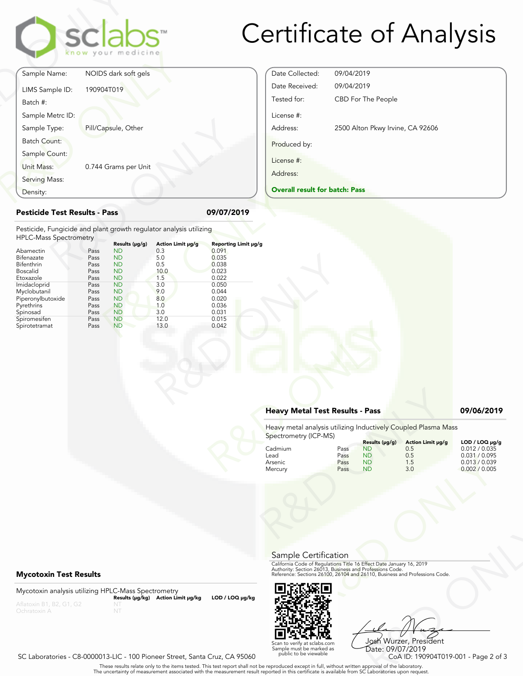

# Certificate of Analysis

|                                                                                                     |            | clabs<br>know your medicine |                          |                                   |
|-----------------------------------------------------------------------------------------------------|------------|-----------------------------|--------------------------|-----------------------------------|
| Sample Name:                                                                                        |            | NOIDS dark soft gels        |                          |                                   |
| LIMS Sample ID:<br>Batch #:                                                                         | 190904T019 |                             |                          |                                   |
| Sample Metrc ID:                                                                                    |            |                             |                          |                                   |
| Sample Type:                                                                                        |            | Pill/Capsule, Other         |                          |                                   |
| <b>Batch Count:</b>                                                                                 |            |                             |                          |                                   |
| Sample Count:                                                                                       |            |                             |                          |                                   |
| <b>Unit Mass:</b>                                                                                   |            | 0.744 Grams per Unit        |                          |                                   |
| Serving Mass:                                                                                       |            |                             |                          |                                   |
| Density:                                                                                            |            |                             |                          |                                   |
| <b>Pesticide Test Results - Pass</b>                                                                |            |                             |                          | 09/07/2019                        |
| Pesticide, Fungicide and plant growth regulator analysis utilizing<br><b>HPLC-Mass Spectrometry</b> |            |                             |                          |                                   |
| Abamectin                                                                                           | Pass       | Results (µg/g)<br><b>ND</b> | Action Limit µg/g<br>0.3 | <b>Reporting Limit µ</b><br>0.091 |
| Bifenazate                                                                                          | Pass       | <b>ND</b>                   | 5.0                      | 0.035                             |
| Bifenthrin                                                                                          | Pass       | <b>ND</b>                   | 0.5                      | 0.038                             |
| $D = - - 11$                                                                                        | n---       | <b>NID</b>                  | 10 <sub>0</sub>          | n nhh                             |

# Date Collected: 09/04/2019 Date Received: 09/04/2019 Tested for: CBD For The People License #: Address: 2500 Alton Pkwy Irvine, CA 92606 Produced by: License #: Address:

| Density:                                                                                                                                                                              |                                                                                              |                                                                                                                                                                            |                                                                                     |                                                                                                          | <b>Overall result for batc</b> |
|---------------------------------------------------------------------------------------------------------------------------------------------------------------------------------------|----------------------------------------------------------------------------------------------|----------------------------------------------------------------------------------------------------------------------------------------------------------------------------|-------------------------------------------------------------------------------------|----------------------------------------------------------------------------------------------------------|--------------------------------|
| <b>Pesticide Test Results - Pass</b>                                                                                                                                                  |                                                                                              |                                                                                                                                                                            |                                                                                     | 09/07/2019                                                                                               |                                |
| Pesticide, Fungicide and plant growth regulator analysis utilizing<br><b>HPLC-Mass Spectrometry</b>                                                                                   |                                                                                              |                                                                                                                                                                            | Action Limit µg/g                                                                   | Reporting Limit µg/g                                                                                     |                                |
| Abamectin<br>Bifenazate<br>Bifenthrin<br><b>Boscalid</b><br>Etoxazole<br>Imidacloprid<br>Myclobutanil<br>Piperonylbutoxide<br>Pyrethrins<br>Spinosad<br>Spiromesifen<br>Spirotetramat | Pass<br>Pass<br>Pass<br>Pass<br>Pass<br>Pass<br>Pass<br>Pass<br>Pass<br>Pass<br>Pass<br>Pass | Results (µg/g)<br><b>ND</b><br><b>ND</b><br><b>ND</b><br><b>ND</b><br><b>ND</b><br><b>ND</b><br><b>ND</b><br><b>ND</b><br><b>ND</b><br><b>ND</b><br><b>ND</b><br><b>ND</b> | 0.3<br>5.0<br>0.5<br>10.0<br>1.5<br>3.0<br>9.0<br>8.0<br>1.0<br>3.0<br>12.0<br>13.0 | 0.091<br>0.035<br>0.038<br>0.023<br>0.022<br>0.050<br>0.044<br>0.020<br>0.036<br>0.031<br>0.015<br>0.042 |                                |

### **Heavy Metal Test Results - Pass 09/06/2019**

**Overall result for batch: Pass**

| 0.042           |                                        |                              |                                                                    |                                                                                                                                                                                                                |                                                                                    |
|-----------------|----------------------------------------|------------------------------|--------------------------------------------------------------------|----------------------------------------------------------------------------------------------------------------------------------------------------------------------------------------------------------------|------------------------------------------------------------------------------------|
|                 | <b>Heavy Metal Test Results - Pass</b> |                              |                                                                    |                                                                                                                                                                                                                | 09/06/2019                                                                         |
|                 | Spectrometry (ICP-MS)                  |                              |                                                                    | Heavy metal analysis utilizing Inductively Coupled Plasma Mass                                                                                                                                                 |                                                                                    |
|                 | Cadmium<br>Lead<br>Arsenic<br>Mercury  | Pass<br>Pass<br>Pass<br>Pass | Results (µg/g)<br><b>ND</b><br><b>ND</b><br><b>ND</b><br><b>ND</b> | Action Limit µg/g<br>0.5<br>0.5<br>1.5<br>3.0                                                                                                                                                                  | LOD / LOQ µg/g<br>0.012 / 0.035<br>0.031 / 0.095<br>0.013 / 0.039<br>0.002 / 0.005 |
|                 | Sample Certification                   |                              |                                                                    |                                                                                                                                                                                                                |                                                                                    |
|                 |                                        |                              |                                                                    | California Code of Regulations Title 16 Effect Date January 16, 2019<br>Authority: Section 26013, Business and Professions Code.<br>Reference: Sections 26100, 26104 and 26110, Business and Professions Code. |                                                                                    |
| LOD / LOQ µg/kg |                                        |                              |                                                                    |                                                                                                                                                                                                                |                                                                                    |



Frect Date January 16, 2019<br>
Trofessions Code.<br>
110, Business and Professions Code.<br>
110, Business and Professions Code.<br>
108 Wurzzer, President<br>
Date: 09/07/2019<br>
CoA ID: 190904T019-001 - Page 2 of 3<br>
pproval of the labor Josh Wurzer, President Date: 09/07/2019<br>CoA ID: 190904T019-001 - Page 2 of 3

# **Mycotoxin Test Results**

Mycotoxin analysis utilizing HPLC-Mass Spectrometry **Results (μg/kg) Action Limit μg/kg LOD / LOQ μg/kg** NT

Scan to verify at sclabs.com Sample must be marked as public to be viewable

. These results relate only to the items tested. This test report shall not be reproduced except in full, without written approval of the laboratory.<br>The uncertainty of measurement associated with the measurement result re